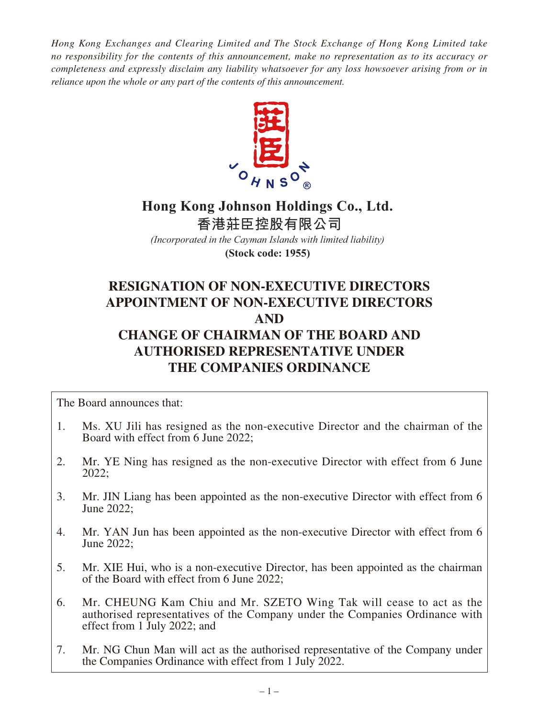*Hong Kong Exchanges and Clearing Limited and The Stock Exchange of Hong Kong Limited take no responsibility for the contents of this announcement, make no representation as to its accuracy or completeness and expressly disclaim any liability whatsoever for any loss howsoever arising from or in reliance upon the whole or any part of the contents of this announcement.*



# **Hong Kong Johnson Holdings Co., Ltd. 香港莊臣控股有限公司**

*(Incorporated in the Cayman Islands with limited liability)* **(Stock code: 1955)**

# **RESIGNATION OF NON-EXECUTIVE DIRECTORS APPOINTMENT OF NON-EXECUTIVE DIRECTORS AND CHANGE OF CHAIRMAN OF THE BOARD AND**

# **AUTHORISED REPRESENTATIVE UNDER THE COMPANIES ORDINANCE**

The Board announces that:

- 1. Ms. XU Jili has resigned as the non-executive Director and the chairman of the Board with effect from 6 June 2022;
- 2. Mr. YE Ning has resigned as the non-executive Director with effect from 6 June 2022;
- 3. Mr. JIN Liang has been appointed as the non-executive Director with effect from 6 June 2022;
- 4. Mr. YAN Jun has been appointed as the non-executive Director with effect from 6 June 2022;
- 5. Mr. XIE Hui, who is a non-executive Director, has been appointed as the chairman of the Board with effect from 6 June 2022;
- 6. Mr. CHEUNG Kam Chiu and Mr. SZETO Wing Tak will cease to act as the authorised representatives of the Company under the Companies Ordinance with effect from 1 July 2022; and
- 7. Mr. NG Chun Man will act as the authorised representative of the Company under the Companies Ordinance with effect from 1 July 2022.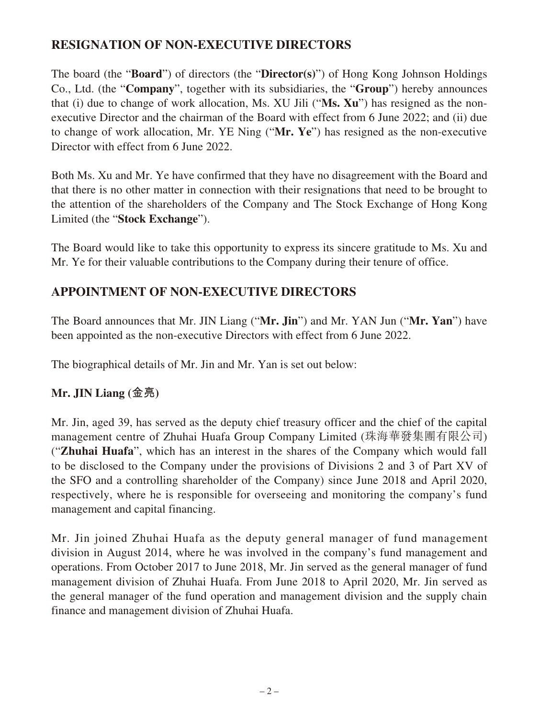#### **RESIGNATION OF NON-EXECUTIVE DIRECTORS**

The board (the "**Board**") of directors (the "**Director(s)**") of Hong Kong Johnson Holdings Co., Ltd. (the "**Company**", together with its subsidiaries, the "**Group**") hereby announces that (i) due to change of work allocation, Ms. XU Jili ("**Ms. Xu**") has resigned as the nonexecutive Director and the chairman of the Board with effect from 6 June 2022; and (ii) due to change of work allocation, Mr. YE Ning ("**Mr. Ye**") has resigned as the non-executive Director with effect from 6 June 2022.

Both Ms. Xu and Mr. Ye have confirmed that they have no disagreement with the Board and that there is no other matter in connection with their resignations that need to be brought to the attention of the shareholders of the Company and The Stock Exchange of Hong Kong Limited (the "**Stock Exchange**").

The Board would like to take this opportunity to express its sincere gratitude to Ms. Xu and Mr. Ye for their valuable contributions to the Company during their tenure of office.

#### **APPOINTMENT OF NON-EXECUTIVE DIRECTORS**

The Board announces that Mr. JIN Liang ("**Mr. Jin**") and Mr. YAN Jun ("**Mr. Yan**") have been appointed as the non-executive Directors with effect from 6 June 2022.

The biographical details of Mr. Jin and Mr. Yan is set out below:

#### **Mr. JIN Liang (金亮)**

Mr. Jin, aged 39, has served as the deputy chief treasury officer and the chief of the capital management centre of Zhuhai Huafa Group Company Limited (珠海華發集團有限公司) ("**Zhuhai Huafa**", which has an interest in the shares of the Company which would fall to be disclosed to the Company under the provisions of Divisions 2 and 3 of Part XV of the SFO and a controlling shareholder of the Company) since June 2018 and April 2020, respectively, where he is responsible for overseeing and monitoring the company's fund management and capital financing.

Mr. Jin joined Zhuhai Huafa as the deputy general manager of fund management division in August 2014, where he was involved in the company's fund management and operations. From October 2017 to June 2018, Mr. Jin served as the general manager of fund management division of Zhuhai Huafa. From June 2018 to April 2020, Mr. Jin served as the general manager of the fund operation and management division and the supply chain finance and management division of Zhuhai Huafa.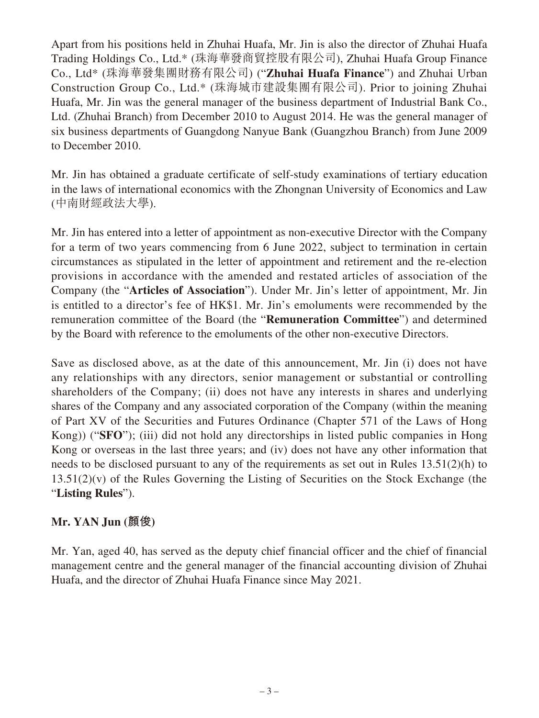Apart from his positions held in Zhuhai Huafa, Mr. Jin is also the director of Zhuhai Huafa Trading Holdings Co., Ltd.\* (珠海華發商貿控股有限公司), Zhuhai Huafa Group Finance Co., Ltd\* (珠海華發集團財務有限公司) ("**Zhuhai Huafa Finance**") and Zhuhai Urban Construction Group Co., Ltd.\* (珠海城市建設集團有限公司). Prior to joining Zhuhai Huafa, Mr. Jin was the general manager of the business department of Industrial Bank Co., Ltd. (Zhuhai Branch) from December 2010 to August 2014. He was the general manager of six business departments of Guangdong Nanyue Bank (Guangzhou Branch) from June 2009 to December 2010.

Mr. Jin has obtained a graduate certificate of self-study examinations of tertiary education in the laws of international economics with the Zhongnan University of Economics and Law (中南財經政法大學).

Mr. Jin has entered into a letter of appointment as non-executive Director with the Company for a term of two years commencing from 6 June 2022, subject to termination in certain circumstances as stipulated in the letter of appointment and retirement and the re-election provisions in accordance with the amended and restated articles of association of the Company (the "**Articles of Association**"). Under Mr. Jin's letter of appointment, Mr. Jin is entitled to a director's fee of HK\$1. Mr. Jin's emoluments were recommended by the remuneration committee of the Board (the "**Remuneration Committee**") and determined by the Board with reference to the emoluments of the other non-executive Directors.

Save as disclosed above, as at the date of this announcement, Mr. Jin (i) does not have any relationships with any directors, senior management or substantial or controlling shareholders of the Company; (ii) does not have any interests in shares and underlying shares of the Company and any associated corporation of the Company (within the meaning of Part XV of the Securities and Futures Ordinance (Chapter 571 of the Laws of Hong Kong)) ("**SFO**"); (iii) did not hold any directorships in listed public companies in Hong Kong or overseas in the last three years; and (iv) does not have any other information that needs to be disclosed pursuant to any of the requirements as set out in Rules 13.51(2)(h) to  $13.51(2)(v)$  of the Rules Governing the Listing of Securities on the Stock Exchange (the "**Listing Rules**").

#### **Mr. YAN Jun (顏俊)**

Mr. Yan, aged 40, has served as the deputy chief financial officer and the chief of financial management centre and the general manager of the financial accounting division of Zhuhai Huafa, and the director of Zhuhai Huafa Finance since May 2021.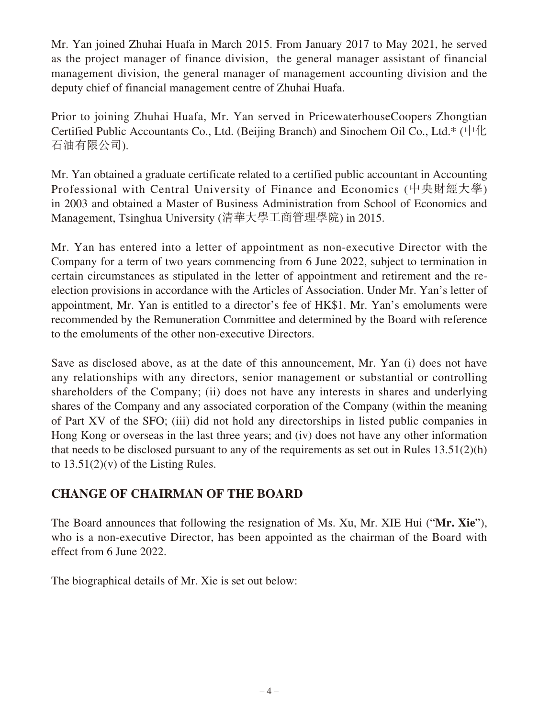Mr. Yan joined Zhuhai Huafa in March 2015. From January 2017 to May 2021, he served as the project manager of finance division, the general manager assistant of financial management division, the general manager of management accounting division and the deputy chief of financial management centre of Zhuhai Huafa.

Prior to joining Zhuhai Huafa, Mr. Yan served in PricewaterhouseCoopers Zhongtian Certified Public Accountants Co., Ltd. (Beijing Branch) and Sinochem Oil Co., Ltd.\* (中化 石油有限公司).

Mr. Yan obtained a graduate certificate related to a certified public accountant in Accounting Professional with Central University of Finance and Economics (中央財經大學) in 2003 and obtained a Master of Business Administration from School of Economics and Management, Tsinghua University (清華大學工商管理學院) in 2015.

Mr. Yan has entered into a letter of appointment as non-executive Director with the Company for a term of two years commencing from 6 June 2022, subject to termination in certain circumstances as stipulated in the letter of appointment and retirement and the reelection provisions in accordance with the Articles of Association. Under Mr. Yan's letter of appointment, Mr. Yan is entitled to a director's fee of HK\$1. Mr. Yan's emoluments were recommended by the Remuneration Committee and determined by the Board with reference to the emoluments of the other non-executive Directors.

Save as disclosed above, as at the date of this announcement, Mr. Yan (i) does not have any relationships with any directors, senior management or substantial or controlling shareholders of the Company; (ii) does not have any interests in shares and underlying shares of the Company and any associated corporation of the Company (within the meaning of Part XV of the SFO; (iii) did not hold any directorships in listed public companies in Hong Kong or overseas in the last three years; and (iv) does not have any other information that needs to be disclosed pursuant to any of the requirements as set out in Rules 13.51(2)(h) to  $13.51(2)(v)$  of the Listing Rules.

## **CHANGE OF CHAIRMAN OF THE BOARD**

The Board announces that following the resignation of Ms. Xu, Mr. XIE Hui ("**Mr. Xie**"), who is a non-executive Director, has been appointed as the chairman of the Board with effect from 6 June 2022.

The biographical details of Mr. Xie is set out below: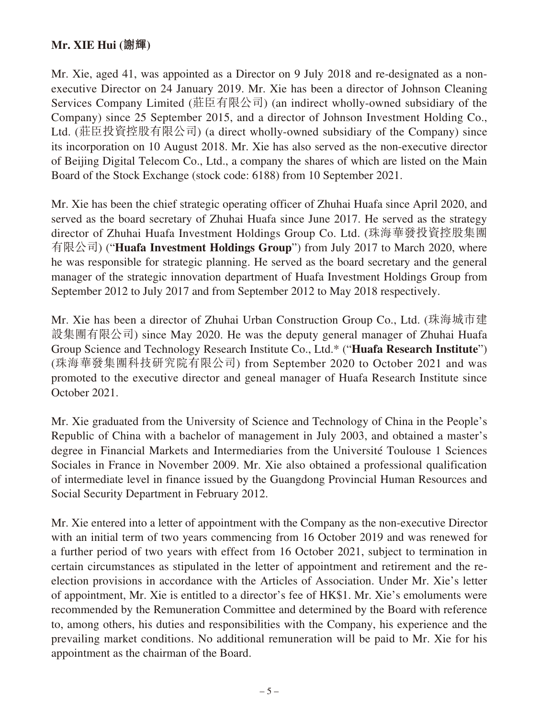#### **Mr. XIE Hui (謝輝)**

Mr. Xie, aged 41, was appointed as a Director on 9 July 2018 and re-designated as a nonexecutive Director on 24 January 2019. Mr. Xie has been a director of Johnson Cleaning Services Company Limited (莊臣有限公司) (an indirect wholly-owned subsidiary of the Company) since 25 September 2015, and a director of Johnson Investment Holding Co., Ltd. (莊臣投資控股有限公司) (a direct wholly-owned subsidiary of the Company) since its incorporation on 10 August 2018. Mr. Xie has also served as the non-executive director of Beijing Digital Telecom Co., Ltd., a company the shares of which are listed on the Main Board of the Stock Exchange (stock code: 6188) from 10 September 2021.

Mr. Xie has been the chief strategic operating officer of Zhuhai Huafa since April 2020, and served as the board secretary of Zhuhai Huafa since June 2017. He served as the strategy director of Zhuhai Huafa Investment Holdings Group Co. Ltd. (珠海華發投資控股集團 有限公司) ("**Huafa Investment Holdings Group**") from July 2017 to March 2020, where he was responsible for strategic planning. He served as the board secretary and the general manager of the strategic innovation department of Huafa Investment Holdings Group from September 2012 to July 2017 and from September 2012 to May 2018 respectively.

Mr. Xie has been a director of Zhuhai Urban Construction Group Co., Ltd. (珠海城市建 設集團有限公司) since May 2020. He was the deputy general manager of Zhuhai Huafa Group Science and Technology Research Institute Co., Ltd.\* ("**Huafa Research Institute**") (珠海華發集團科技研究院有限公司) from September 2020 to October 2021 and was promoted to the executive director and geneal manager of Huafa Research Institute since October 2021.

Mr. Xie graduated from the University of Science and Technology of China in the People's Republic of China with a bachelor of management in July 2003, and obtained a master's degree in Financial Markets and Intermediaries from the Université Toulouse 1 Sciences Sociales in France in November 2009. Mr. Xie also obtained a professional qualification of intermediate level in finance issued by the Guangdong Provincial Human Resources and Social Security Department in February 2012.

Mr. Xie entered into a letter of appointment with the Company as the non-executive Director with an initial term of two years commencing from 16 October 2019 and was renewed for a further period of two years with effect from 16 October 2021, subject to termination in certain circumstances as stipulated in the letter of appointment and retirement and the reelection provisions in accordance with the Articles of Association. Under Mr. Xie's letter of appointment, Mr. Xie is entitled to a director's fee of HK\$1. Mr. Xie's emoluments were recommended by the Remuneration Committee and determined by the Board with reference to, among others, his duties and responsibilities with the Company, his experience and the prevailing market conditions. No additional remuneration will be paid to Mr. Xie for his appointment as the chairman of the Board.